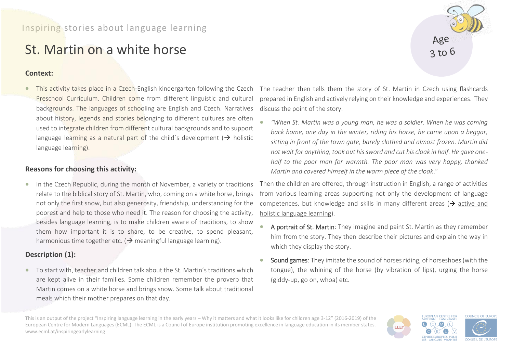# St. Martin on a white horse

#### **Context:**

• This activity takes place in a Czech-English kindergarten following the Czech Preschool Curriculum. Children come from different linguistic and cultural backgrounds. The languages of schooling are English and Czech. Narratives about history, legends and stories belonging to different cultures are often used to integrate children from different cultural backgrounds and to support language learning as a natural part of the child's development ( $\rightarrow$  holistic language learning).

## **Reasons for choosing this activity:**

• In the Czech Republic, during the month of November, a variety of traditions relate to the biblical story of St. Martin, who, coming on a white horse, brings not only the first snow, but also generosity, friendship, understanding for the poorest and help to those who need it. The reason for choosing the activity, besides language learning, is to make children aware of traditions, to show them how important it is to share, to be creative, to spend pleasant, harmonious time together etc. ( $\rightarrow$  meaningful language learning).

## **Description (1):**

• To start with, teacher and children talk about the St. Martin's traditions which are kept alive in their families. Some children remember the proverb that Martin comes on a white horse and brings snow. Some talk about traditional meals which their mother prepares on that day.

The teacher then tells them the story of St. Martin in Czech using flashcards prepared in English and actively relying on their knowledge and experiences. They discuss the point of the story.

• *"When St. Martin was a young man, he was a soldier. When he was coming back home, one day in the winter, riding his horse, he came upon a beggar, sitting in front of the town gate, barely clothed and almost frozen. Martin did not wait for anything, took out his sword and cut his cloak in half. He gave onehalf to the poor man for warmth. The poor man was very happy, thanked Martin and covered himself in the warm piece of the cloak*."

Then the children are offered, through instruction in English, a range of activities from various learning areas supporting not only the development of language competences, but knowledge and skills in many different areas ( $\rightarrow$  active and holistic language learning).

- A portrait of St. Martin: They imagine and paint St. Martin as they remember him from the story. They then describe their pictures and explain the way in which they display the story.
- Sound games: They imitate the sound of horses riding, of horseshoes (with the tongue), the whining of the horse (by vibration of lips), urging the horse (giddy-up, go on, whoa) etc.

This is an output of the project "Inspiring language learning in the early years – Why it matters and what it looks like for children age 3-12" (2016-2019) of the European Centre for Modern Languages (ECML). The ECML is a Council of Europe institution promoting excellence in language education in its member states. [www.ecml.at/inspiringearlylearning](http://www.ecml.at/inspiringearlylearning)

**EUROPEAN CENTRE FOR<br>MODERN LANGUAGES COUNCIL OF EUROPI**  $(M)$ **ILLEY CENTRE EUROPEEN POUR LES LANGUES VIVANTES CONSEIL DE L'EUR**